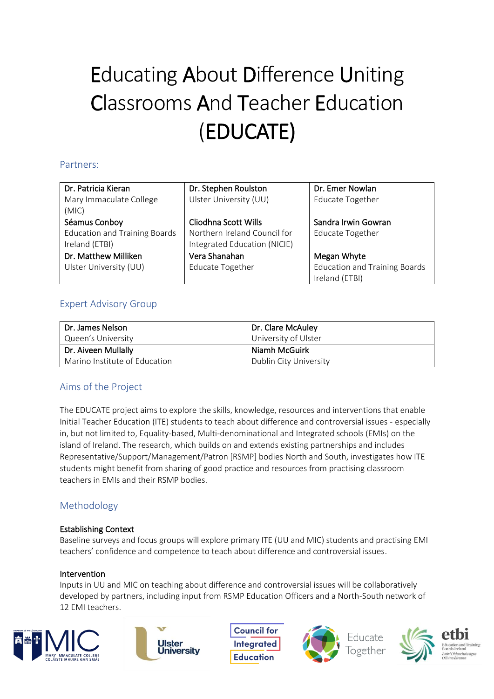# Educating About Difference Uniting Classrooms And Teacher Education (EDUCATE)

## Partners:

| Dr. Patricia Kieran                  | Dr. Stephen Roulston         | Dr. Emer Nowlan                      |
|--------------------------------------|------------------------------|--------------------------------------|
| Mary Immaculate College              | Ulster University (UU)       | <b>Educate Together</b>              |
| (MIC)                                |                              |                                      |
| Séamus Conboy                        | Cliodhna Scott Wills         | Sandra Irwin Gowran                  |
| <b>Education and Training Boards</b> | Northern Ireland Council for | <b>Educate Together</b>              |
| Ireland (ETBI)                       | Integrated Education (NICIE) |                                      |
| Dr. Matthew Milliken                 | Vera Shanahan                | Megan Whyte                          |
| Ulster University (UU)               | <b>Educate Together</b>      | <b>Education and Training Boards</b> |
|                                      |                              | Ireland (ETBI)                       |

# Expert Advisory Group

| l Dr. James Nelson            | Dr. Clare McAuley      |
|-------------------------------|------------------------|
| Queen's University            | University of Ulster   |
| Dr. Aiveen Mullally           | Niamh McGuirk          |
| Marino Institute of Education | Dublin City University |

# Aims of the Project

The EDUCATE project aims to explore the skills, knowledge, resources and interventions that enable Initial Teacher Education (ITE) students to teach about difference and controversial issues - especially in, but not limited to, Equality-based, Multi-denominational and Integrated schools (EMIs) on the island of Ireland. The research, which builds on and extends existing partnerships and includes Representative/Support/Management/Patron [RSMP] bodies North and South, investigates how ITE students might benefit from sharing of good practice and resources from practising classroom teachers in EMIs and their RSMP bodies.

# Methodology

### Establishing Context

Baseline surveys and focus groups will explore primary ITE (UU and MIC) students and practising EMI teachers' confidence and competence to teach about difference and controversial issues.

### Intervention

Inputs in UU and MIC on teaching about difference and controversial issues will be collaboratively developed by partners, including input from RSMP Education Officers and a North-South network of 12 EMI teachers.





**Council for Integrated Education**